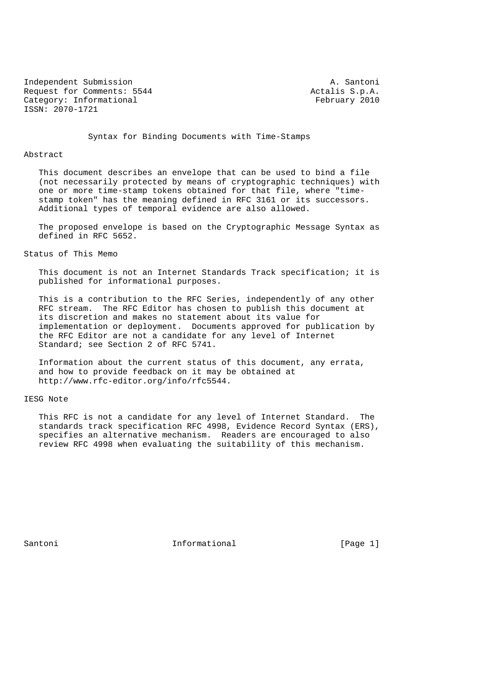Independent Submission **A. Santoni** Request for Comments: 5544 Actalis S.p.A.<br>Category: Informational Actalis S.p.A. February 2010 Category: Informational ISSN: 2070-1721

Syntax for Binding Documents with Time-Stamps

## Abstract

 This document describes an envelope that can be used to bind a file (not necessarily protected by means of cryptographic techniques) with one or more time-stamp tokens obtained for that file, where "time stamp token" has the meaning defined in RFC 3161 or its successors. Additional types of temporal evidence are also allowed.

 The proposed envelope is based on the Cryptographic Message Syntax as defined in RFC 5652.

Status of This Memo

 This document is not an Internet Standards Track specification; it is published for informational purposes.

 This is a contribution to the RFC Series, independently of any other RFC stream. The RFC Editor has chosen to publish this document at its discretion and makes no statement about its value for implementation or deployment. Documents approved for publication by the RFC Editor are not a candidate for any level of Internet Standard; see Section 2 of RFC 5741.

 Information about the current status of this document, any errata, and how to provide feedback on it may be obtained at http://www.rfc-editor.org/info/rfc5544.

### IESG Note

 This RFC is not a candidate for any level of Internet Standard. The standards track specification RFC 4998, Evidence Record Syntax (ERS), specifies an alternative mechanism. Readers are encouraged to also review RFC 4998 when evaluating the suitability of this mechanism.

Santoni **Informational Informational** [Page 1]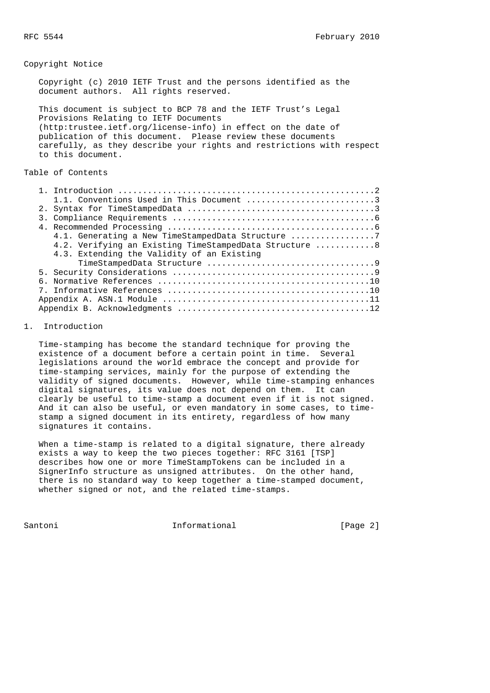## Copyright Notice

 Copyright (c) 2010 IETF Trust and the persons identified as the document authors. All rights reserved.

 This document is subject to BCP 78 and the IETF Trust's Legal Provisions Relating to IETF Documents (http:trustee.ietf.org/license-info) in effect on the date of publication of this document. Please review these documents carefully, as they describe your rights and restrictions with respect to this document.

# Table of Contents

| 1.1. Conventions Used in This Document 3               |
|--------------------------------------------------------|
|                                                        |
|                                                        |
|                                                        |
| 4.1. Generating a New TimeStampedData Structure 7      |
| 4.2. Verifying an Existing TimeStampedData Structure 8 |
| 4.3. Extending the Validity of an Existing             |
|                                                        |
|                                                        |
|                                                        |
|                                                        |
|                                                        |
|                                                        |

## 1. Introduction

 Time-stamping has become the standard technique for proving the existence of a document before a certain point in time. Several legislations around the world embrace the concept and provide for time-stamping services, mainly for the purpose of extending the validity of signed documents. However, while time-stamping enhances digital signatures, its value does not depend on them. It can clearly be useful to time-stamp a document even if it is not signed. And it can also be useful, or even mandatory in some cases, to time stamp a signed document in its entirety, regardless of how many signatures it contains.

 When a time-stamp is related to a digital signature, there already exists a way to keep the two pieces together: RFC 3161 [TSP] describes how one or more TimeStampTokens can be included in a SignerInfo structure as unsigned attributes. On the other hand, there is no standard way to keep together a time-stamped document, whether signed or not, and the related time-stamps.

Santoni **Informational Informational** [Page 2]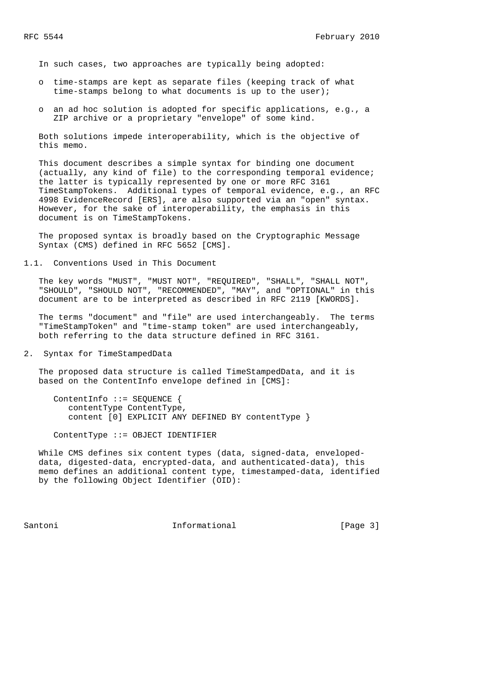In such cases, two approaches are typically being adopted:

- o time-stamps are kept as separate files (keeping track of what time-stamps belong to what documents is up to the user);
- o an ad hoc solution is adopted for specific applications, e.g., a ZIP archive or a proprietary "envelope" of some kind.

 Both solutions impede interoperability, which is the objective of this memo.

 This document describes a simple syntax for binding one document (actually, any kind of file) to the corresponding temporal evidence; the latter is typically represented by one or more RFC 3161 TimeStampTokens. Additional types of temporal evidence, e.g., an RFC 4998 EvidenceRecord [ERS], are also supported via an "open" syntax. However, for the sake of interoperability, the emphasis in this document is on TimeStampTokens.

 The proposed syntax is broadly based on the Cryptographic Message Syntax (CMS) defined in RFC 5652 [CMS].

1.1. Conventions Used in This Document

 The key words "MUST", "MUST NOT", "REQUIRED", "SHALL", "SHALL NOT", "SHOULD", "SHOULD NOT", "RECOMMENDED", "MAY", and "OPTIONAL" in this document are to be interpreted as described in RFC 2119 [KWORDS].

 The terms "document" and "file" are used interchangeably. The terms "TimeStampToken" and "time-stamp token" are used interchangeably, both referring to the data structure defined in RFC 3161.

2. Syntax for TimeStampedData

 The proposed data structure is called TimeStampedData, and it is based on the ContentInfo envelope defined in [CMS]:

 ContentInfo ::= SEQUENCE { contentType ContentType, content [0] EXPLICIT ANY DEFINED BY contentType }

ContentType ::= OBJECT IDENTIFIER

 While CMS defines six content types (data, signed-data, enveloped data, digested-data, encrypted-data, and authenticated-data), this memo defines an additional content type, timestamped-data, identified by the following Object Identifier (OID):

Santoni **Informational Informational** [Page 3]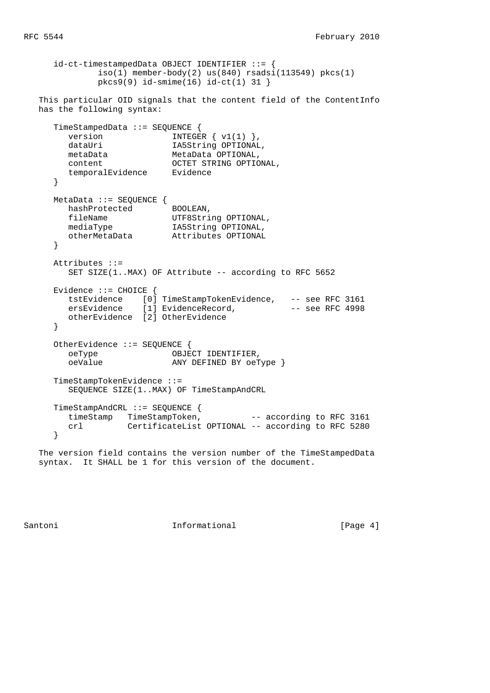```
 id-ct-timestampedData OBJECT IDENTIFIER ::= {
             iso(1) member-body(2) us(840) rsadsi(113549) pkcs(1)
              pkcs9(9) id-smime(16) id-ct(1) 31 }
   This particular OID signals that the content field of the ContentInfo
   has the following syntax:
      TimeStampedData ::= SEQUENCE {
       version INTEGR \{ v1(1) \},
       dataUri 1A5String OPTIONAL,
        metaData MetaData OPTIONAL,
        content OCTET STRING OPTIONAL,
        temporalEvidence Evidence
      }
     MetaData ::= SEQUENCE {
       hashProtected BOOLEAN,<br>fileName UTF8String OPTIONAL,
fileName UTF8String OPTIONAL,
 mediaType IA5String OPTIONAL,
 otherMetaData Attributes OPTIONAL
      }
      Attributes ::=
       SET SIZE(1..MAX) OF Attribute -- according to RFC 5652
      Evidence ::= CHOICE {
 tstEvidence [0] TimeStampTokenEvidence, -- see RFC 3161
ersEvidence [1] EvidenceRecord, The See RFC 4998
        otherEvidence [2] OtherEvidence
      }
      OtherEvidence ::= SEQUENCE {
       oeType OBJECT IDENTIFIER,
        oeValue ANY DEFINED BY oeType }
      TimeStampTokenEvidence ::=
        SEQUENCE SIZE(1..MAX) OF TimeStampAndCRL
      TimeStampAndCRL ::= SEQUENCE {
       timeStamp TimeStampToken, -- according to RFC 3161
        crl CertificateList OPTIONAL -- according to RFC 5280
      }
   The version field contains the version number of the TimeStampedData
```
syntax. It SHALL be 1 for this version of the document.

Santoni **Informational Informational** [Page 4]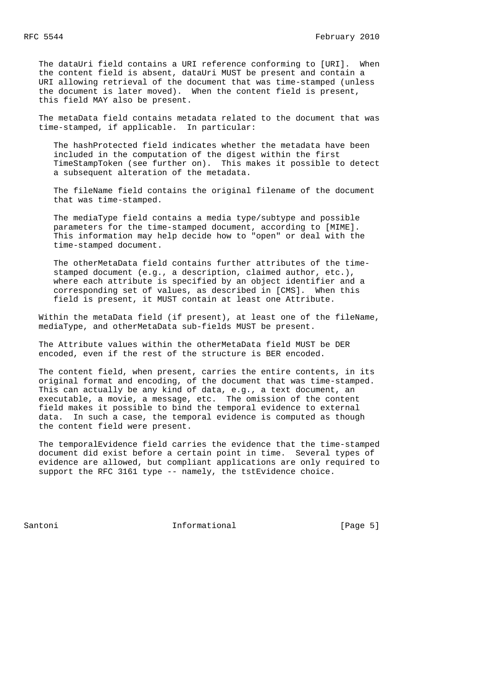The dataUri field contains a URI reference conforming to [URI]. When the content field is absent, dataUri MUST be present and contain a URI allowing retrieval of the document that was time-stamped (unless the document is later moved). When the content field is present, this field MAY also be present.

 The metaData field contains metadata related to the document that was time-stamped, if applicable. In particular:

 The hashProtected field indicates whether the metadata have been included in the computation of the digest within the first TimeStampToken (see further on). This makes it possible to detect a subsequent alteration of the metadata.

 The fileName field contains the original filename of the document that was time-stamped.

 The mediaType field contains a media type/subtype and possible parameters for the time-stamped document, according to [MIME]. This information may help decide how to "open" or deal with the time-stamped document.

 The otherMetaData field contains further attributes of the time stamped document (e.g., a description, claimed author, etc.), where each attribute is specified by an object identifier and a corresponding set of values, as described in [CMS]. When this field is present, it MUST contain at least one Attribute.

 Within the metaData field (if present), at least one of the fileName, mediaType, and otherMetaData sub-fields MUST be present.

 The Attribute values within the otherMetaData field MUST be DER encoded, even if the rest of the structure is BER encoded.

 The content field, when present, carries the entire contents, in its original format and encoding, of the document that was time-stamped. This can actually be any kind of data, e.g., a text document, an executable, a movie, a message, etc. The omission of the content field makes it possible to bind the temporal evidence to external data. In such a case, the temporal evidence is computed as though the content field were present.

 The temporalEvidence field carries the evidence that the time-stamped document did exist before a certain point in time. Several types of evidence are allowed, but compliant applications are only required to support the RFC 3161 type -- namely, the tstEvidence choice.

Santoni **Informational Informational** [Page 5]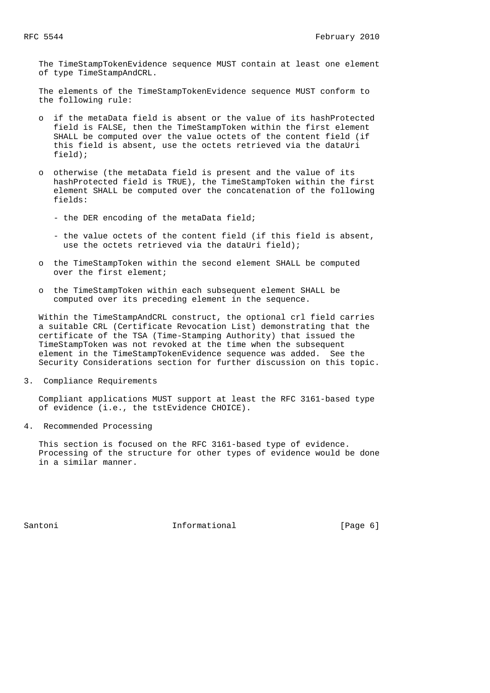The TimeStampTokenEvidence sequence MUST contain at least one element of type TimeStampAndCRL.

 The elements of the TimeStampTokenEvidence sequence MUST conform to the following rule:

- o if the metaData field is absent or the value of its hashProtected field is FALSE, then the TimeStampToken within the first element SHALL be computed over the value octets of the content field (if this field is absent, use the octets retrieved via the dataUri field);
- o otherwise (the metaData field is present and the value of its hashProtected field is TRUE), the TimeStampToken within the first element SHALL be computed over the concatenation of the following fields:
	- the DER encoding of the metaData field;
	- the value octets of the content field (if this field is absent, use the octets retrieved via the dataUri field);
- o the TimeStampToken within the second element SHALL be computed over the first element;
- o the TimeStampToken within each subsequent element SHALL be computed over its preceding element in the sequence.

 Within the TimeStampAndCRL construct, the optional crl field carries a suitable CRL (Certificate Revocation List) demonstrating that the certificate of the TSA (Time-Stamping Authority) that issued the TimeStampToken was not revoked at the time when the subsequent element in the TimeStampTokenEvidence sequence was added. See the Security Considerations section for further discussion on this topic.

3. Compliance Requirements

 Compliant applications MUST support at least the RFC 3161-based type of evidence (i.e., the tstEvidence CHOICE).

4. Recommended Processing

 This section is focused on the RFC 3161-based type of evidence. Processing of the structure for other types of evidence would be done in a similar manner.

Santoni **Informational Informational** [Page 6]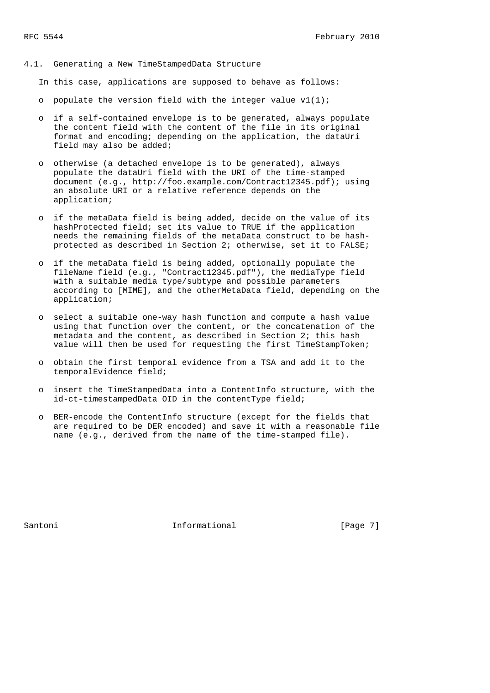4.1. Generating a New TimeStampedData Structure

In this case, applications are supposed to behave as follows:

- o populate the version field with the integer value  $v1(1)$ ;
- o if a self-contained envelope is to be generated, always populate the content field with the content of the file in its original format and encoding; depending on the application, the dataUri field may also be added;
- o otherwise (a detached envelope is to be generated), always populate the dataUri field with the URI of the time-stamped document (e.g., http://foo.example.com/Contract12345.pdf); using an absolute URI or a relative reference depends on the application;
- o if the metaData field is being added, decide on the value of its hashProtected field; set its value to TRUE if the application needs the remaining fields of the metaData construct to be hash protected as described in Section 2; otherwise, set it to FALSE;
- o if the metaData field is being added, optionally populate the fileName field (e.g., "Contract12345.pdf"), the mediaType field with a suitable media type/subtype and possible parameters according to [MIME], and the otherMetaData field, depending on the application;
- o select a suitable one-way hash function and compute a hash value using that function over the content, or the concatenation of the metadata and the content, as described in Section 2; this hash value will then be used for requesting the first TimeStampToken;
- o obtain the first temporal evidence from a TSA and add it to the temporalEvidence field;
- o insert the TimeStampedData into a ContentInfo structure, with the id-ct-timestampedData OID in the contentType field;
- o BER-encode the ContentInfo structure (except for the fields that are required to be DER encoded) and save it with a reasonable file name (e.g., derived from the name of the time-stamped file).

Santoni **Informational Informational** [Page 7]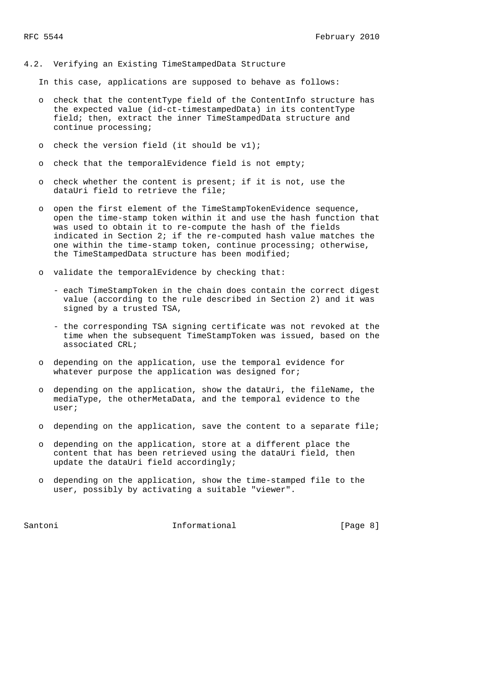#### 4.2. Verifying an Existing TimeStampedData Structure

In this case, applications are supposed to behave as follows:

- o check that the contentType field of the ContentInfo structure has the expected value (id-ct-timestampedData) in its contentType field; then, extract the inner TimeStampedData structure and continue processing;
- o check the version field (it should be v1);
- o check that the temporalEvidence field is not empty;
- o check whether the content is present; if it is not, use the dataUri field to retrieve the file;
- o open the first element of the TimeStampTokenEvidence sequence, open the time-stamp token within it and use the hash function that was used to obtain it to re-compute the hash of the fields indicated in Section 2; if the re-computed hash value matches the one within the time-stamp token, continue processing; otherwise, the TimeStampedData structure has been modified;
- o validate the temporalEvidence by checking that:
	- each TimeStampToken in the chain does contain the correct digest value (according to the rule described in Section 2) and it was signed by a trusted TSA,
	- the corresponding TSA signing certificate was not revoked at the time when the subsequent TimeStampToken was issued, based on the associated CRL;
- o depending on the application, use the temporal evidence for whatever purpose the application was designed for;
- o depending on the application, show the dataUri, the fileName, the mediaType, the otherMetaData, and the temporal evidence to the user;
- o depending on the application, save the content to a separate file;
- o depending on the application, store at a different place the content that has been retrieved using the dataUri field, then update the dataUri field accordingly;
- o depending on the application, show the time-stamped file to the user, possibly by activating a suitable "viewer".

Santoni **Informational Informational** [Page 8]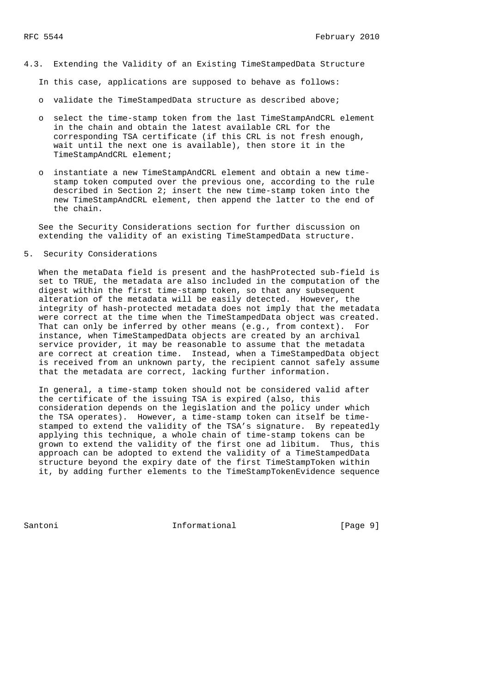4.3. Extending the Validity of an Existing TimeStampedData Structure

In this case, applications are supposed to behave as follows:

- o validate the TimeStampedData structure as described above;
- o select the time-stamp token from the last TimeStampAndCRL element in the chain and obtain the latest available CRL for the corresponding TSA certificate (if this CRL is not fresh enough, wait until the next one is available), then store it in the TimeStampAndCRL element;
- o instantiate a new TimeStampAndCRL element and obtain a new time stamp token computed over the previous one, according to the rule described in Section 2; insert the new time-stamp token into the new TimeStampAndCRL element, then append the latter to the end of the chain.

 See the Security Considerations section for further discussion on extending the validity of an existing TimeStampedData structure.

5. Security Considerations

When the metaData field is present and the hashProtected sub-field is set to TRUE, the metadata are also included in the computation of the digest within the first time-stamp token, so that any subsequent alteration of the metadata will be easily detected. However, the integrity of hash-protected metadata does not imply that the metadata were correct at the time when the TimeStampedData object was created. That can only be inferred by other means (e.g., from context). For instance, when TimeStampedData objects are created by an archival service provider, it may be reasonable to assume that the metadata are correct at creation time. Instead, when a TimeStampedData object is received from an unknown party, the recipient cannot safely assume that the metadata are correct, lacking further information.

 In general, a time-stamp token should not be considered valid after the certificate of the issuing TSA is expired (also, this consideration depends on the legislation and the policy under which the TSA operates). However, a time-stamp token can itself be time stamped to extend the validity of the TSA's signature. By repeatedly applying this technique, a whole chain of time-stamp tokens can be grown to extend the validity of the first one ad libitum. Thus, this approach can be adopted to extend the validity of a TimeStampedData structure beyond the expiry date of the first TimeStampToken within it, by adding further elements to the TimeStampTokenEvidence sequence

Santoni **Informational Informational** [Page 9]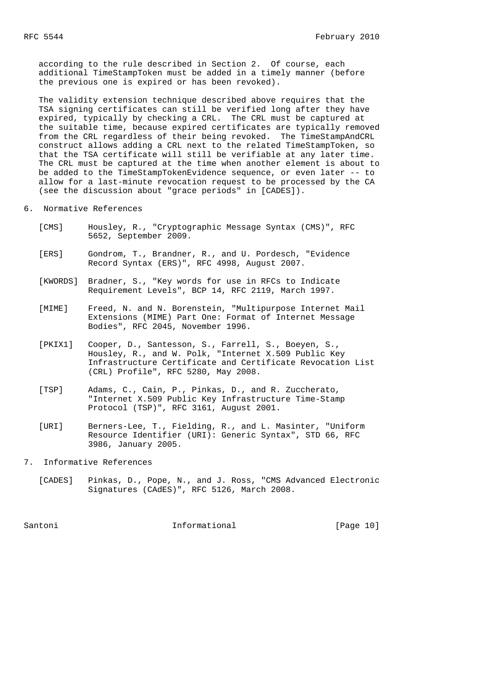according to the rule described in Section 2. Of course, each additional TimeStampToken must be added in a timely manner (before the previous one is expired or has been revoked).

 The validity extension technique described above requires that the TSA signing certificates can still be verified long after they have expired, typically by checking a CRL. The CRL must be captured at the suitable time, because expired certificates are typically removed from the CRL regardless of their being revoked. The TimeStampAndCRL construct allows adding a CRL next to the related TimeStampToken, so that the TSA certificate will still be verifiable at any later time. The CRL must be captured at the time when another element is about to be added to the TimeStampTokenEvidence sequence, or even later -- to allow for a last-minute revocation request to be processed by the CA (see the discussion about "grace periods" in [CADES]).

- 6. Normative References
	- [CMS] Housley, R., "Cryptographic Message Syntax (CMS)", RFC 5652, September 2009.
	- [ERS] Gondrom, T., Brandner, R., and U. Pordesch, "Evidence Record Syntax (ERS)", RFC 4998, August 2007.
	- [KWORDS] Bradner, S., "Key words for use in RFCs to Indicate Requirement Levels", BCP 14, RFC 2119, March 1997.
	- [MIME] Freed, N. and N. Borenstein, "Multipurpose Internet Mail Extensions (MIME) Part One: Format of Internet Message Bodies", RFC 2045, November 1996.
	- [PKIX1] Cooper, D., Santesson, S., Farrell, S., Boeyen, S., Housley, R., and W. Polk, "Internet X.509 Public Key Infrastructure Certificate and Certificate Revocation List (CRL) Profile", RFC 5280, May 2008.
	- [TSP] Adams, C., Cain, P., Pinkas, D., and R. Zuccherato, "Internet X.509 Public Key Infrastructure Time-Stamp Protocol (TSP)", RFC 3161, August 2001.
	- [URI] Berners-Lee, T., Fielding, R., and L. Masinter, "Uniform Resource Identifier (URI): Generic Syntax", STD 66, RFC 3986, January 2005.
- 7. Informative References
	- [CADES] Pinkas, D., Pope, N., and J. Ross, "CMS Advanced Electronic Signatures (CAdES)", RFC 5126, March 2008.

Santoni **Informational** [Page 10]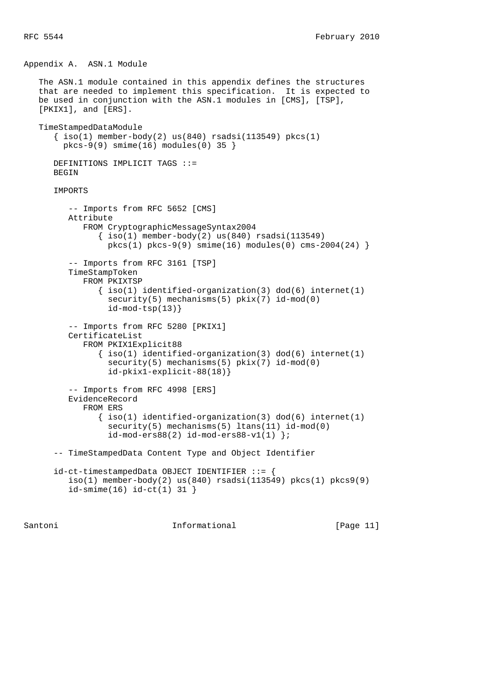Appendix A. ASN.1 Module

```
 The ASN.1 module contained in this appendix defines the structures
 that are needed to implement this specification. It is expected to
 be used in conjunction with the ASN.1 modules in [CMS], [TSP],
 [PKIX1], and [ERS].
 TimeStampedDataModule
   \{\text{iso}(1) \text{ member-body}(2) \text{ us}(840) \text{ rsadsi}(113549) \text{ pkcs}(1)pkcs-9(9) smime(16) modules(0) 35 }
    DEFINITIONS IMPLICIT TAGS ::=
   BEGIN
    IMPORTS
      -- Imports from RFC 5652 [CMS]
       Attribute
          FROM CryptographicMessageSyntax2004
             \{ iso(1) member-body(2) us(840) rsadsi(113549)pkcs(1) pkcs-9(9) simime(16) modules(0) cms-2004(24) -- Imports from RFC 3161 [TSP]
       TimeStampToken
          FROM PKIXTSP
             \{ iso(1) <i>identified-organization(3) <math> dod(6) <i>internet(1)</i>security(5) mechanisms(5) pix(7) id-mod(0)
               id-mod-tsp(13)}
       -- Imports from RFC 5280 [PKIX1]
       CertificateList
          FROM PKIX1Explicit88
              { iso(1) identified-organization(3) dod(6) internet(1)
               security(5) mechanisms(5) pkix(7) id-mod(0)
                id-pkix1-explicit-88(18)}
       -- Imports from RFC 4998 [ERS]
       EvidenceRecord
          FROM ERS
             \{ iso(1) <i>identified-organization(3) <math> dod(6) <i>internet(1)</i>security(5) mechanisms(5) ltans(11) id-mod(0)
                id-mod-ers88(2) id-mod-ers88-v1(1) };
    -- TimeStampedData Content Type and Object Identifier
    id-ct-timestampedData OBJECT IDENTIFIER ::= {
      iso(1) member-body(2) us(840) rsadsi(113549) pkcs(1) pkcs9(9)
       id-smime(16) id-ct(1) 31 }
```
Santoni **Informational Informational** [Page 11]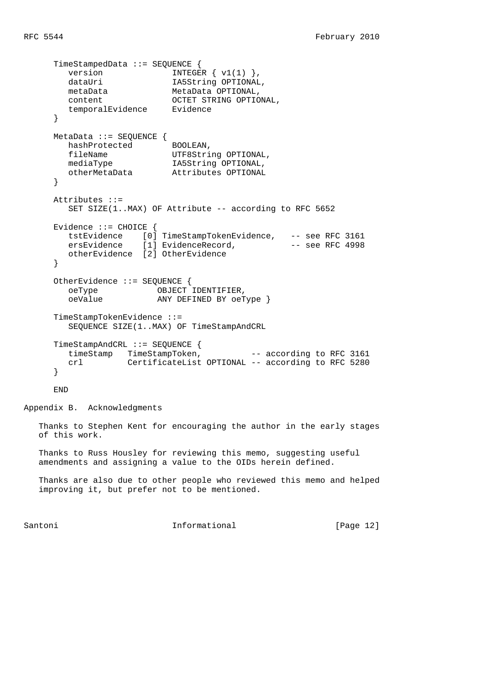```
 TimeStampedData ::= SEQUENCE {
       version INTEGR \{ v1(1) \},
       dataUri IA5String OPTIONAL,
        metaData MetaData OPTIONAL,
       content OCTET STRING OPTIONAL,
        temporalEvidence Evidence
      }
      MetaData ::= SEQUENCE {
       hashProtected BOOLEAN,
fileName UTF8String OPTIONAL,
 mediaType IA5String OPTIONAL,
                         Attributes OPTIONAL
      }
      Attributes ::=
       SET SIZE(1..MAX) OF Attribute -- according to RFC 5652
      Evidence ::= CHOICE {
 tstEvidence [0] TimeStampTokenEvidence, -- see RFC 3161
ersEvidence [1] EvidenceRecord, The See RFC 4998
       ersEvidence [1] EvidenceRecord,<br>otherEvidence [2] OtherEvidence
      }
     OtherEvidence ::= SEQUENCE {<br>
oeType 0BJECT<br>
oeValue any DEF
        oeType OBJECT IDENTIFIER,
                        ANY DEFINED BY oeType }
      TimeStampTokenEvidence ::=
        SEQUENCE SIZE(1..MAX) OF TimeStampAndCRL
      TimeStampAndCRL ::= SEQUENCE {
       timeStamp TimeStampToken, -- according to RFC 3161
        crl CertificateList OPTIONAL -- according to RFC 5280
      }
```
END

Appendix B. Acknowledgments

 Thanks to Stephen Kent for encouraging the author in the early stages of this work.

 Thanks to Russ Housley for reviewing this memo, suggesting useful amendments and assigning a value to the OIDs herein defined.

 Thanks are also due to other people who reviewed this memo and helped improving it, but prefer not to be mentioned.

Santoni **Informational Informational** [Page 12]